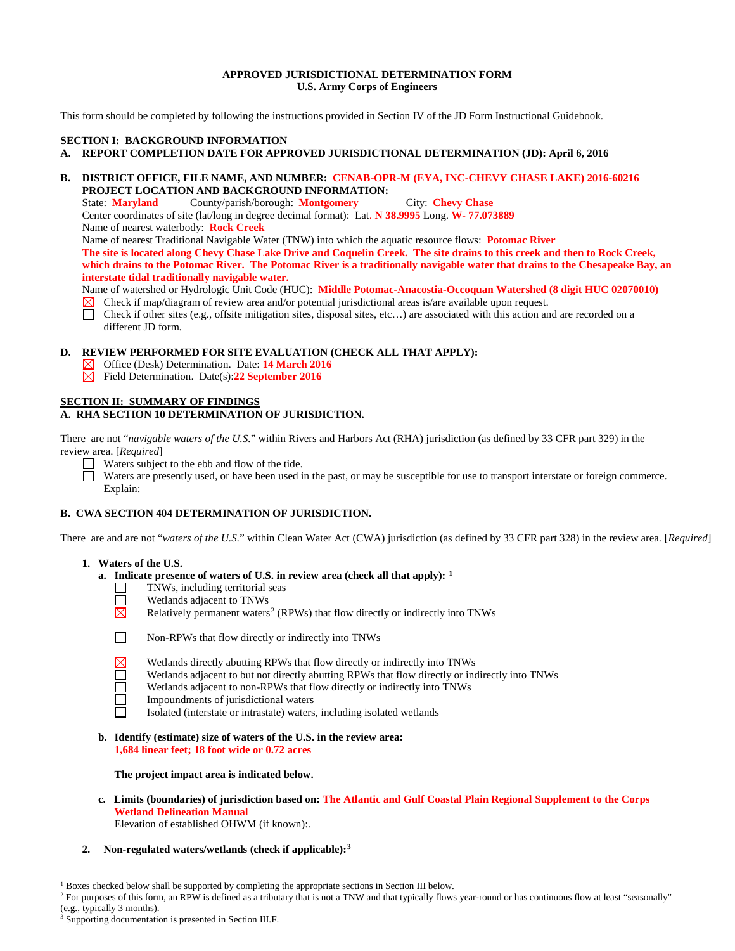### **APPROVED JURISDICTIONAL DETERMINATION FORM U.S. Army Corps of Engineers**

This form should be completed by following the instructions provided in Section IV of the JD Form Instructional Guidebook.

## **SECTION I: BACKGROUND INFORMATION**

## **A. REPORT COMPLETION DATE FOR APPROVED JURISDICTIONAL DETERMINATION (JD): April 6, 2016**

## **B. DISTRICT OFFICE, FILE NAME, AND NUMBER: CENAB-OPR-M (EYA, INC-CHEVY CHASE LAKE) 2016-60216 PROJECT LOCATION AND BACKGROUND INFORMATION:**

State: **Maryland** County/parish/borough: **Montgomery** City: **Chevy Chase**

Center coordinates of site (lat/long in degree decimal format): Lat. **N 38.9995** Long. **W- 77.073889** Name of nearest waterbody: **Rock Creek**

Name of nearest Traditional Navigable Water (TNW) into which the aquatic resource flows: **Potomac River**

**The site is located along Chevy Chase Lake Drive and Coquelin Creek. The site drains to this creek and then to Rock Creek, which drains to the Potomac River. The Potomac River is a traditionally navigable water that drains to the Chesapeake Bay, an interstate tidal traditionally navigable water.** 

Name of watershed or Hydrologic Unit Code (HUC): **Middle Potomac-Anacostia-Occoquan Watershed (8 digit HUC 02070010)**

- Check if map/diagram of review area and/or potential jurisdictional areas is/are available upon request.
- $\overline{\Box}$ Check if other sites (e.g., offsite mitigation sites, disposal sites, etc…) are associated with this action and are recorded on a different JD form.

### **D. REVIEW PERFORMED FOR SITE EVALUATION (CHECK ALL THAT APPLY):**

- Office (Desk) Determination. Date: **14 March 2016**  $\boxtimes$
- Field Determination. Date(s):**22 September 2016**

## **SECTION II: SUMMARY OF FINDINGS**

## **A. RHA SECTION 10 DETERMINATION OF JURISDICTION.**

There are not "*navigable waters of the U.S.*" within Rivers and Harbors Act (RHA) jurisdiction (as defined by 33 CFR part 329) in the review area. [*Required*]

Waters subject to the ebb and flow of the tide.

 $\Box$ Waters are presently used, or have been used in the past, or may be susceptible for use to transport interstate or foreign commerce. Explain:

## **B. CWA SECTION 404 DETERMINATION OF JURISDICTION.**

There are and are not "*waters of the U.S.*" within Clean Water Act (CWA) jurisdiction (as defined by 33 CFR part 328) in the review area. [*Required*]

#### **1. Waters of the U.S.**

- **a. Indicate presence of waters of U.S. in review area (check all that apply): [1](#page-0-0)**
	- TNWs, including territorial seas  $\mathsf{L}$
	- $\Box$ Wetlands adjacent to TNWs
	- ⊠ Relatively permanent waters<sup>[2](#page-0-1)</sup> (RPWs) that flow directly or indirectly into TNWs



П

- Non-RPWs that flow directly or indirectly into TNWs
- Wetlands directly abutting RPWs that flow directly or indirectly into TNWs
- Wetlands adjacent to but not directly abutting RPWs that flow directly or indirectly into TNWs
- Wetlands adjacent to non-RPWs that flow directly or indirectly into TNWs
- Impoundments of jurisdictional waters
- Isolated (interstate or intrastate) waters, including isolated wetlands
- **b. Identify (estimate) size of waters of the U.S. in the review area: 1,684 linear feet; 18 foot wide or 0.72 acres**

**The project impact area is indicated below.**

**c. Limits (boundaries) of jurisdiction based on: The Atlantic and Gulf Coastal Plain Regional Supplement to the Corps Wetland Delineation Manual**

Elevation of established OHWM (if known):.

**2. Non-regulated waters/wetlands (check if applicable):[3](#page-0-2)**

<sup>&</sup>lt;sup>1</sup> Boxes checked below shall be supported by completing the appropriate sections in Section III below.

<span id="page-0-1"></span><span id="page-0-0"></span><sup>&</sup>lt;sup>2</sup> For purposes of this form, an RPW is defined as a tributary that is not a TNW and that typically flows year-round or has continuous flow at least "seasonally" (e.g., typically 3 months).

<span id="page-0-2"></span>Supporting documentation is presented in Section III.F.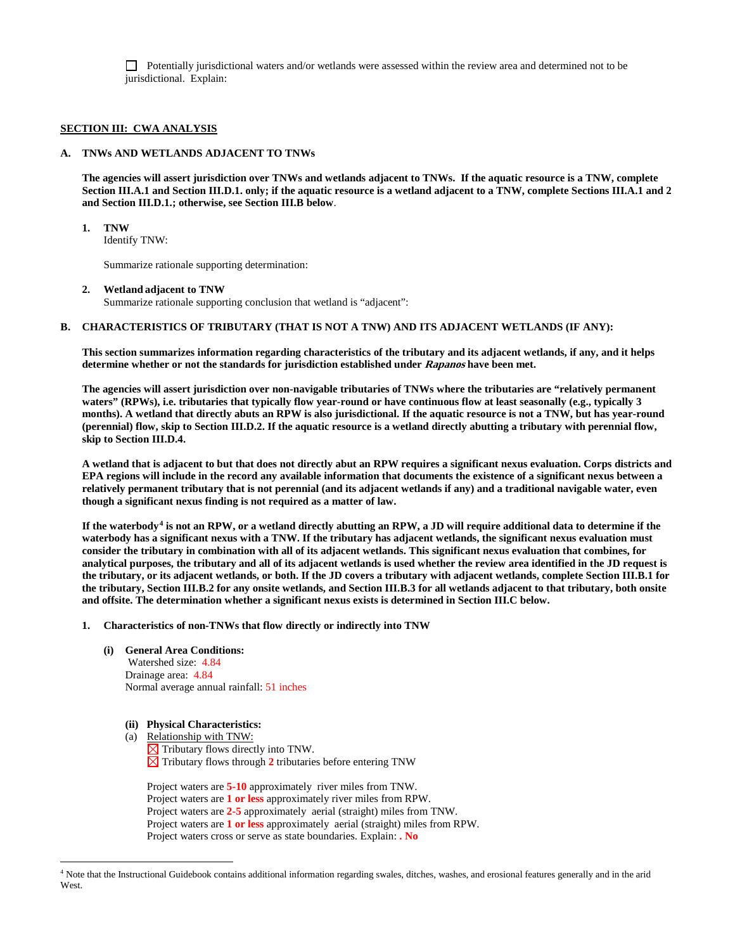Potentially jurisdictional waters and/or wetlands were assessed within the review area and determined not to be jurisdictional. Explain:

#### **SECTION III: CWA ANALYSIS**

## **A. TNWs AND WETLANDS ADJACENT TO TNWs**

**The agencies will assert jurisdiction over TNWs and wetlands adjacent to TNWs. If the aquatic resource is a TNW, complete Section III.A.1 and Section III.D.1. only; if the aquatic resource is a wetland adjacent to a TNW, complete Sections III.A.1 and 2 and Section III.D.1.; otherwise, see Section III.B below**.

**1. TNW** 

Identify TNW:

Summarize rationale supporting determination:

#### **2. Wetland adjacent to TNW**

Summarize rationale supporting conclusion that wetland is "adjacent":

#### **B. CHARACTERISTICS OF TRIBUTARY (THAT IS NOT A TNW) AND ITS ADJACENT WETLANDS (IF ANY):**

**This section summarizes information regarding characteristics of the tributary and its adjacent wetlands, if any, and it helps determine whether or not the standards for jurisdiction established under Rapanos have been met.** 

**The agencies will assert jurisdiction over non-navigable tributaries of TNWs where the tributaries are "relatively permanent waters" (RPWs), i.e. tributaries that typically flow year-round or have continuous flow at least seasonally (e.g., typically 3 months). A wetland that directly abuts an RPW is also jurisdictional. If the aquatic resource is not a TNW, but has year-round (perennial) flow, skip to Section III.D.2. If the aquatic resource is a wetland directly abutting a tributary with perennial flow, skip to Section III.D.4.** 

**A wetland that is adjacent to but that does not directly abut an RPW requires a significant nexus evaluation. Corps districts and EPA regions will include in the record any available information that documents the existence of a significant nexus between a relatively permanent tributary that is not perennial (and its adjacent wetlands if any) and a traditional navigable water, even though a significant nexus finding is not required as a matter of law.**

**If the waterbody[4](#page-1-0) is not an RPW, or a wetland directly abutting an RPW, a JD will require additional data to determine if the waterbody has a significant nexus with a TNW. If the tributary has adjacent wetlands, the significant nexus evaluation must consider the tributary in combination with all of its adjacent wetlands. This significant nexus evaluation that combines, for analytical purposes, the tributary and all of its adjacent wetlands is used whether the review area identified in the JD request is the tributary, or its adjacent wetlands, or both. If the JD covers a tributary with adjacent wetlands, complete Section III.B.1 for the tributary, Section III.B.2 for any onsite wetlands, and Section III.B.3 for all wetlands adjacent to that tributary, both onsite and offsite. The determination whether a significant nexus exists is determined in Section III.C below.**

#### **1. Characteristics of non-TNWs that flow directly or indirectly into TNW**

**(i) General Area Conditions:**

 Watershed size: 4.84 Drainage area: 4.84 Normal average annual rainfall: 51 inches

- **(ii) Physical Characteristics:**
- (a) Relationship with TNW:
	- $\boxtimes$  Tributary flows directly into TNW.  $\boxtimes$  Tributary flows through 2 tributaries before entering TNW

Project waters are **5-10** approximately river miles from TNW. Project waters are **1 or less** approximately river miles from RPW. Project waters are **2-5** approximately aerial (straight) miles from TNW. Project waters are **1 or less** approximatelyaerial (straight) miles from RPW. Project waters cross or serve as state boundaries. Explain: **. No**

<span id="page-1-0"></span> <sup>4</sup> Note that the Instructional Guidebook contains additional information regarding swales, ditches, washes, and erosional features generally and in the arid West.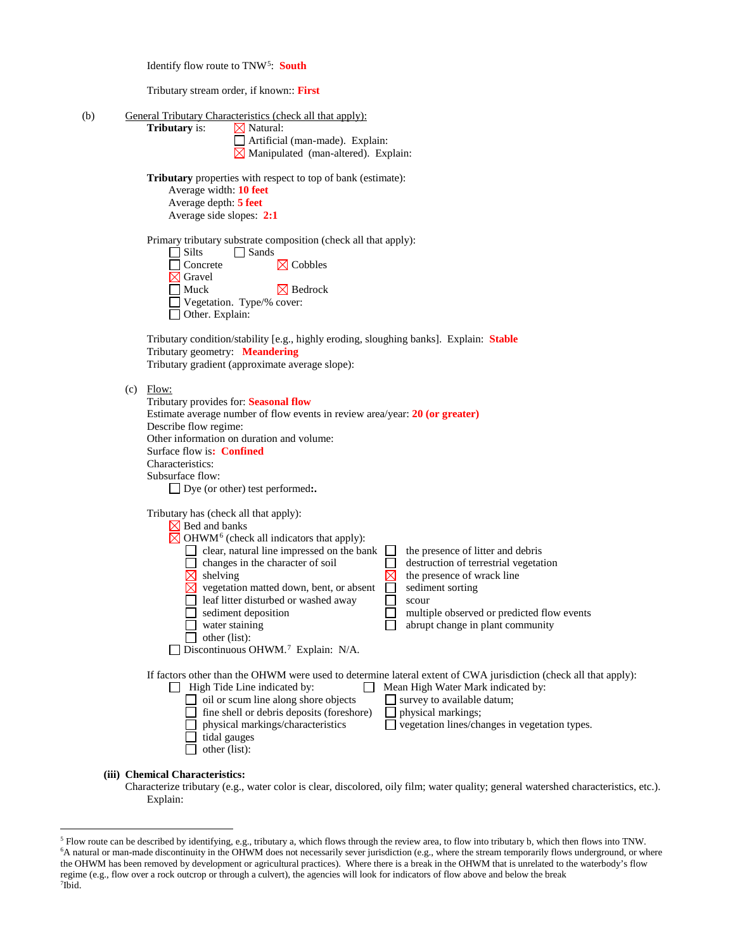Identify flow route to TNW[5:](#page-2-0) **South**

Tributary stream order, if known:: **First**

| (b) | General Tributary Characteristics (check all that apply):                                                                          |
|-----|------------------------------------------------------------------------------------------------------------------------------------|
|     | Tributary is:<br>$\boxtimes$ Natural:                                                                                              |
|     | Artificial (man-made). Explain:<br>$\boxtimes$ Manipulated (man-altered). Explain:                                                 |
|     |                                                                                                                                    |
|     | <b>Tributary</b> properties with respect to top of bank (estimate):                                                                |
|     | Average width: 10 feet<br>Average depth: 5 feet                                                                                    |
|     | Average side slopes: 2:1                                                                                                           |
|     |                                                                                                                                    |
|     | Primary tributary substrate composition (check all that apply):<br>$\Box$ Silts                                                    |
|     | Sands<br>$\boxtimes$ Cobbles<br>Concrete                                                                                           |
|     | $\times$ Gravel                                                                                                                    |
|     | $\exists$ Muck<br>$\boxtimes$ Bedrock                                                                                              |
|     | Vegetation. Type/% cover:<br>□ Other. Explain:                                                                                     |
|     |                                                                                                                                    |
|     | Tributary condition/stability [e.g., highly eroding, sloughing banks]. Explain: Stable                                             |
|     | Tributary geometry: Meandering<br>Tributary gradient (approximate average slope):                                                  |
|     |                                                                                                                                    |
|     | $(c)$ Flow:                                                                                                                        |
|     | Tributary provides for: Seasonal flow<br>Estimate average number of flow events in review area/year: 20 (or greater)               |
|     | Describe flow regime:                                                                                                              |
|     | Other information on duration and volume:                                                                                          |
|     | Surface flow is: Confined<br>Characteristics:                                                                                      |
|     | Subsurface flow:                                                                                                                   |
|     | $\Box$ Dye (or other) test performed:.                                                                                             |
|     |                                                                                                                                    |
|     | Tributary has (check all that apply):<br>$\times$ Bed and banks                                                                    |
|     | $\boxtimes$ OHWM <sup>6</sup> (check all indicators that apply):                                                                   |
|     | clear, natural line impressed on the bank<br>the presence of litter and debris<br>$\sqcup$                                         |
|     | changes in the character of soil<br>destruction of terrestrial vegetation<br>$\boxtimes$<br>shelving<br>the presence of wrack line |
|     | $\Box$<br>vegetation matted down, bent, or absent<br>sediment sorting                                                              |
|     | leaf litter disturbed or washed away<br>$\sim$<br>scour                                                                            |
|     | sediment deposition<br>multiple observed or predicted flow events<br>water staining<br>abrupt change in plant community            |
|     | other (list):                                                                                                                      |
|     | Discontinuous OHWM. <sup>7</sup> Explain: N/A.                                                                                     |
|     | If factors other than the OHWM were used to determine lateral extent of CWA jurisdiction (check all that apply):                   |
|     | $\Box$ High Tide Line indicated by:<br>Mean High Water Mark indicated by:<br>$\perp$                                               |
|     | oil or scum line along shore objects<br>survey to available datum;                                                                 |
|     | fine shell or debris deposits (foreshore)<br>physical markings;<br>physical markings/characteristics                               |
|     | vegetation lines/changes in vegetation types.<br>tidal gauges                                                                      |
|     | other (list):                                                                                                                      |
|     |                                                                                                                                    |

**(iii) Chemical Characteristics:**

Characterize tributary (e.g., water color is clear, discolored, oily film; water quality; general watershed characteristics, etc.). Explain:

<span id="page-2-2"></span><span id="page-2-1"></span><span id="page-2-0"></span> <sup>5</sup> Flow route can be described by identifying, e.g., tributary a, which flows through the review area, to flow into tributary b, which then flows into TNW. 6 A natural or man-made discontinuity in the OHWM does not necessarily sever jurisdiction (e.g., where the stream temporarily flows underground, or where the OHWM has been removed by development or agricultural practices). Where there is a break in the OHWM that is unrelated to the waterbody's flow regime (e.g., flow over a rock outcrop or through a culvert), the agencies will look for indicators of flow above and below the break 7 Ibid.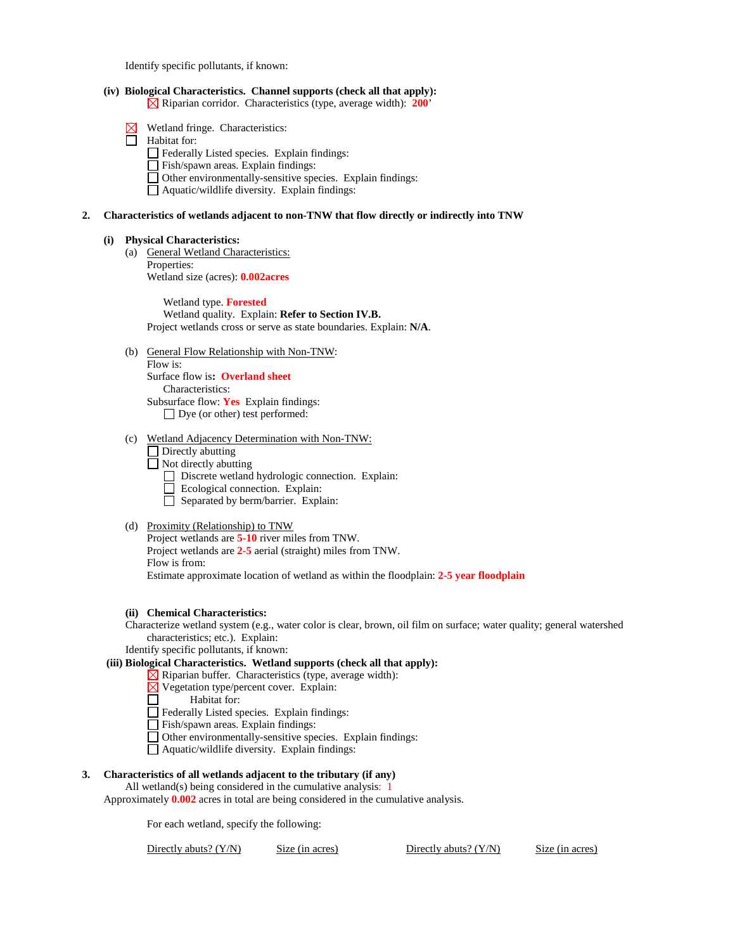Identify specific pollutants, if known:

### **(iv) Biological Characteristics. Channel supports (check all that apply):**

Riparian corridor. Characteristics (type, average width): **200**'

- $\boxtimes$  Wetland fringe. Characteristics:
- Habitat for:
	- Federally Listed species. Explain findings:
	- Fish/spawn areas. Explain findings:
	- Other environmentally-sensitive species. Explain findings:
	- Aquatic/wildlife diversity. Explain findings:

#### **2. Characteristics of wetlands adjacent to non-TNW that flow directly or indirectly into TNW**

#### **(i) Physical Characteristics:**

(a) General Wetland Characteristics: Properties: Wetland size (acres): **0.002acres**

> Wetland type. **Forested** Wetland quality. Explain: **Refer to Section IV.B.** Project wetlands cross or serve as state boundaries. Explain: **N/A**.

- (b) General Flow Relationship with Non-TNW: Flow is: Surface flow is**: Overland sheet** Characteristics: Subsurface flow: **Yes** Explain findings:
	- □ Dye (or other) test performed:
- (c) Wetland Adjacency Determination with Non-TNW:
	- $\Box$  Directly abutting
	- $\Box$  Not directly abutting
		- Discrete wetland hydrologic connection. Explain:
		- Ecological connection. Explain:
		- $\Box$  Separated by berm/barrier. Explain:

#### (d) Proximity (Relationship) to TNW

Project wetlands are **5-10** river miles from TNW. Project wetlands are **2-5** aerial (straight) miles from TNW. Flow is from: Estimate approximate location of wetland as within the floodplain: **2-5 year floodplain**

### **(ii) Chemical Characteristics:**

Characterize wetland system (e.g., water color is clear, brown, oil film on surface; water quality; general watershed characteristics; etc.). Explain:

Identify specific pollutants, if known:

## **(iii) Biological Characteristics. Wetland supports (check all that apply):**

- $\boxtimes$  Riparian buffer. Characteristics (type, average width):
- $\boxtimes$  Vegetation type/percent cover. Explain:
- □ Habitat for:
- Federally Listed species. Explain findings:
- Fish/spawn areas. Explain findings:
- Other environmentally-sensitive species. Explain findings:
- Aquatic/wildlife diversity. Explain findings:

### **3. Characteristics of all wetlands adjacent to the tributary (if any)**

All wetland(s) being considered in the cumulative analysis: 1

Approximately **0.002** acres in total are being considered in the cumulative analysis.

For each wetland, specify the following:

Directly abuts? (Y/N) Size (in acres) Directly abuts? (Y/N) Size (in acres)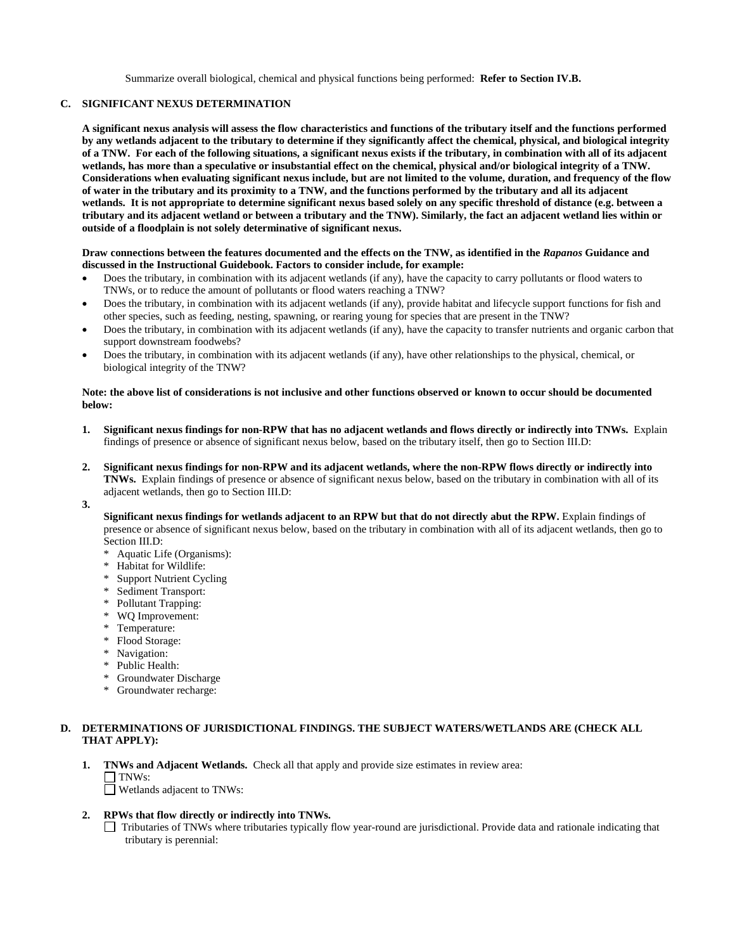Summarize overall biological, chemical and physical functions being performed: **Refer to Section IV.B.**

## **C. SIGNIFICANT NEXUS DETERMINATION**

**A significant nexus analysis will assess the flow characteristics and functions of the tributary itself and the functions performed by any wetlands adjacent to the tributary to determine if they significantly affect the chemical, physical, and biological integrity of a TNW. For each of the following situations, a significant nexus exists if the tributary, in combination with all of its adjacent wetlands, has more than a speculative or insubstantial effect on the chemical, physical and/or biological integrity of a TNW. Considerations when evaluating significant nexus include, but are not limited to the volume, duration, and frequency of the flow of water in the tributary and its proximity to a TNW, and the functions performed by the tributary and all its adjacent wetlands. It is not appropriate to determine significant nexus based solely on any specific threshold of distance (e.g. between a tributary and its adjacent wetland or between a tributary and the TNW). Similarly, the fact an adjacent wetland lies within or outside of a floodplain is not solely determinative of significant nexus.** 

#### **Draw connections between the features documented and the effects on the TNW, as identified in the** *Rapanos* **Guidance and discussed in the Instructional Guidebook. Factors to consider include, for example:**

- Does the tributary, in combination with its adjacent wetlands (if any), have the capacity to carry pollutants or flood waters to TNWs, or to reduce the amount of pollutants or flood waters reaching a TNW?
- Does the tributary, in combination with its adjacent wetlands (if any), provide habitat and lifecycle support functions for fish and other species, such as feeding, nesting, spawning, or rearing young for species that are present in the TNW?
- Does the tributary, in combination with its adjacent wetlands (if any), have the capacity to transfer nutrients and organic carbon that support downstream foodwebs?
- Does the tributary, in combination with its adjacent wetlands (if any), have other relationships to the physical, chemical, or biological integrity of the TNW?

#### **Note: the above list of considerations is not inclusive and other functions observed or known to occur should be documented below:**

- **1. Significant nexus findings for non-RPW that has no adjacent wetlands and flows directly or indirectly into TNWs.** Explain findings of presence or absence of significant nexus below, based on the tributary itself, then go to Section III.D:
- **2. Significant nexus findings for non-RPW and its adjacent wetlands, where the non-RPW flows directly or indirectly into TNWs.** Explain findings of presence or absence of significant nexus below, based on the tributary in combination with all of its adjacent wetlands, then go to Section III.D:
- **3.**

**Significant nexus findings for wetlands adjacent to an RPW but that do not directly abut the RPW.** Explain findings of presence or absence of significant nexus below, based on the tributary in combination with all of its adjacent wetlands, then go to Section III.D:

- \* Aquatic Life (Organisms):
- \* Habitat for Wildlife:
- **Support Nutrient Cycling**
- Sediment Transport:
- Pollutant Trapping:
- WQ Improvement:
- Temperature:
- Flood Storage:
- Navigation:
- \* Public Health:
- \* Groundwater Discharge
- \* Groundwater recharge:

# **D. DETERMINATIONS OF JURISDICTIONAL FINDINGS. THE SUBJECT WATERS/WETLANDS ARE (CHECK ALL THAT APPLY):**

**1. TNWs and Adjacent Wetlands.** Check all that apply and provide size estimates in review area:  $\Box$  TNWs:

Wetlands adjacent to TNWs:

## **2. RPWs that flow directly or indirectly into TNWs.**

Tributaries of TNWs where tributaries typically flow year-round are jurisdictional. Provide data and rationale indicating that tributary is perennial: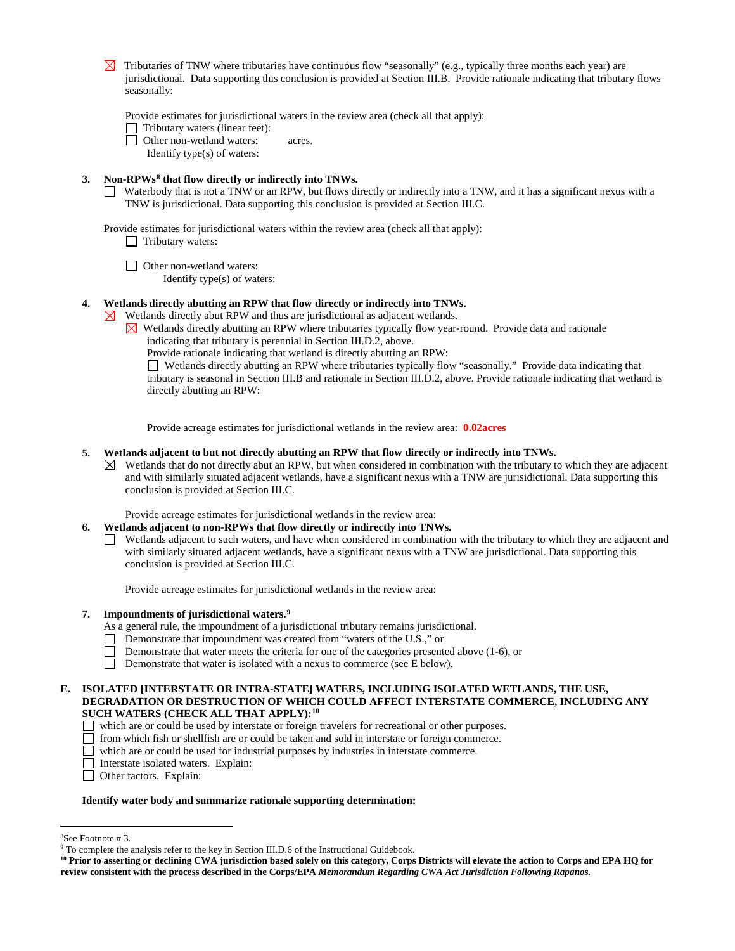$\boxtimes$  Tributaries of TNW where tributaries have continuous flow "seasonally" (e.g., typically three months each year) are jurisdictional. Data supporting this conclusion is provided at Section III.B. Provide rationale indicating that tributary flows seasonally:

Provide estimates for jurisdictional waters in the review area (check all that apply):

 $\Box$  Tributary waters (linear feet):

**D** Other non-wetland waters: acres.

Identify type(s) of waters:

## **3. Non-RPWs[8](#page-5-0) that flow directly or indirectly into TNWs.**

Waterbody that is not a TNW or an RPW, but flows directly or indirectly into a TNW, and it has a significant nexus with a TNW is jurisdictional. Data supporting this conclusion is provided at Section III.C.

Provide estimates for jurisdictional waters within the review area (check all that apply):

 $\Box$  Tributary waters:

□ Other non-wetland waters:

Identify type(s) of waters:

## **4. Wetlands directly abutting an RPW that flow directly or indirectly into TNWs.**

Wetlands directly abut RPW and thus are jurisdictional as adjacent wetlands.  $\bowtie$ 

- $\boxtimes$  Wetlands directly abutting an RPW where tributaries typically flow year-round. Provide data and rationale indicating that tributary is perennial in Section III.D.2, above.
	- Provide rationale indicating that wetland is directly abutting an RPW:

Wetlands directly abutting an RPW where tributaries typically flow "seasonally." Provide data indicating that tributary is seasonal in Section III.B and rationale in Section III.D.2, above. Provide rationale indicating that wetland is directly abutting an RPW:

Provide acreage estimates for jurisdictional wetlands in the review area: **0.02acres**

### **5. Wetlands adjacent to but not directly abutting an RPW that flow directly or indirectly into TNWs.**

 $\boxtimes$  Wetlands that do not directly abut an RPW, but when considered in combination with the tributary to which they are adjacent and with similarly situated adjacent wetlands, have a significant nexus with a TNW are jurisidictional. Data supporting this conclusion is provided at Section III.C.

Provide acreage estimates for jurisdictional wetlands in the review area:

- **6. Wetlands adjacent to non-RPWs that flow directly or indirectly into TNWs.** 
	- Wetlands adjacent to such waters, and have when considered in combination with the tributary to which they are adjacent and with similarly situated adjacent wetlands, have a significant nexus with a TNW are jurisdictional. Data supporting this conclusion is provided at Section III.C.

Provide acreage estimates for jurisdictional wetlands in the review area:

## **7. Impoundments of jurisdictional waters.[9](#page-5-1)**

- As a general rule, the impoundment of a jurisdictional tributary remains jurisdictional.
- Demonstrate that impoundment was created from "waters of the U.S.," or
	- Demonstrate that water meets the criteria for one of the categories presented above (1-6), or
- $\Box$ Demonstrate that water is isolated with a nexus to commerce (see E below).

#### **E. ISOLATED [INTERSTATE OR INTRA-STATE] WATERS, INCLUDING ISOLATED WETLANDS, THE USE, DEGRADATION OR DESTRUCTION OF WHICH COULD AFFECT INTERSTATE COMMERCE, INCLUDING ANY SUCH WATERS (CHECK ALL THAT APPLY):[10](#page-5-2)**

- which are or could be used by interstate or foreign travelers for recreational or other purposes.
- $\Box$  from which fish or shellfish are or could be taken and sold in interstate or foreign commerce.
- $\Box$  which are or could be used for industrial purposes by industries in interstate commerce.
- Interstate isolated waters.Explain:
- □ Other factors. Explain:

#### **Identify water body and summarize rationale supporting determination:**

 $\frac{1}{8}$ 

<span id="page-5-1"></span><span id="page-5-0"></span><sup>&</sup>lt;sup>8</sup>See Footnote # 3. 9  $\degree$  3. 9 To complete the analysis refer to the key in Section III.D.6 of the Instructional Guidebook.

<span id="page-5-2"></span>**<sup>10</sup> Prior to asserting or declining CWA jurisdiction based solely on this category, Corps Districts will elevate the action to Corps and EPA HQ for review consistent with the process described in the Corps/EPA** *Memorandum Regarding CWA Act Jurisdiction Following Rapanos.*